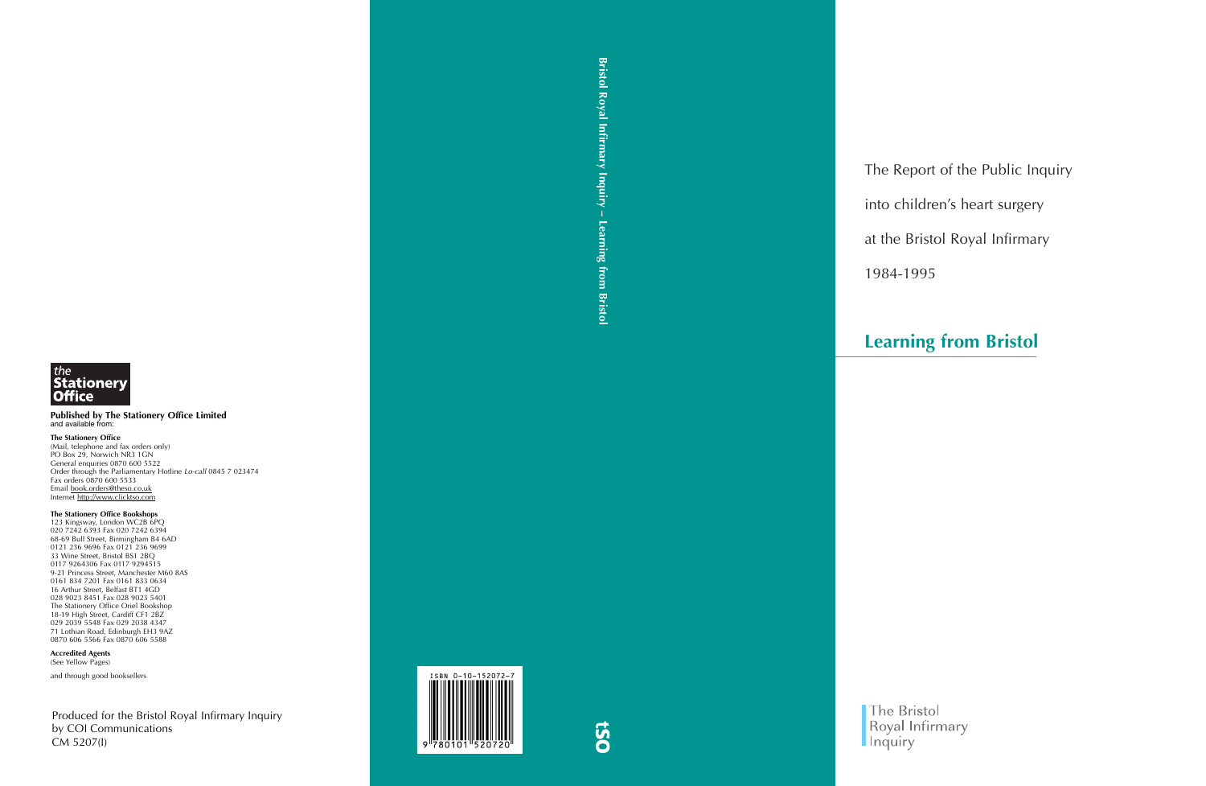The Report of the Public Inquiry into children's heart surgery at the Bristol Royal Infirmary 1984-1995

### **Learning from Bristol**

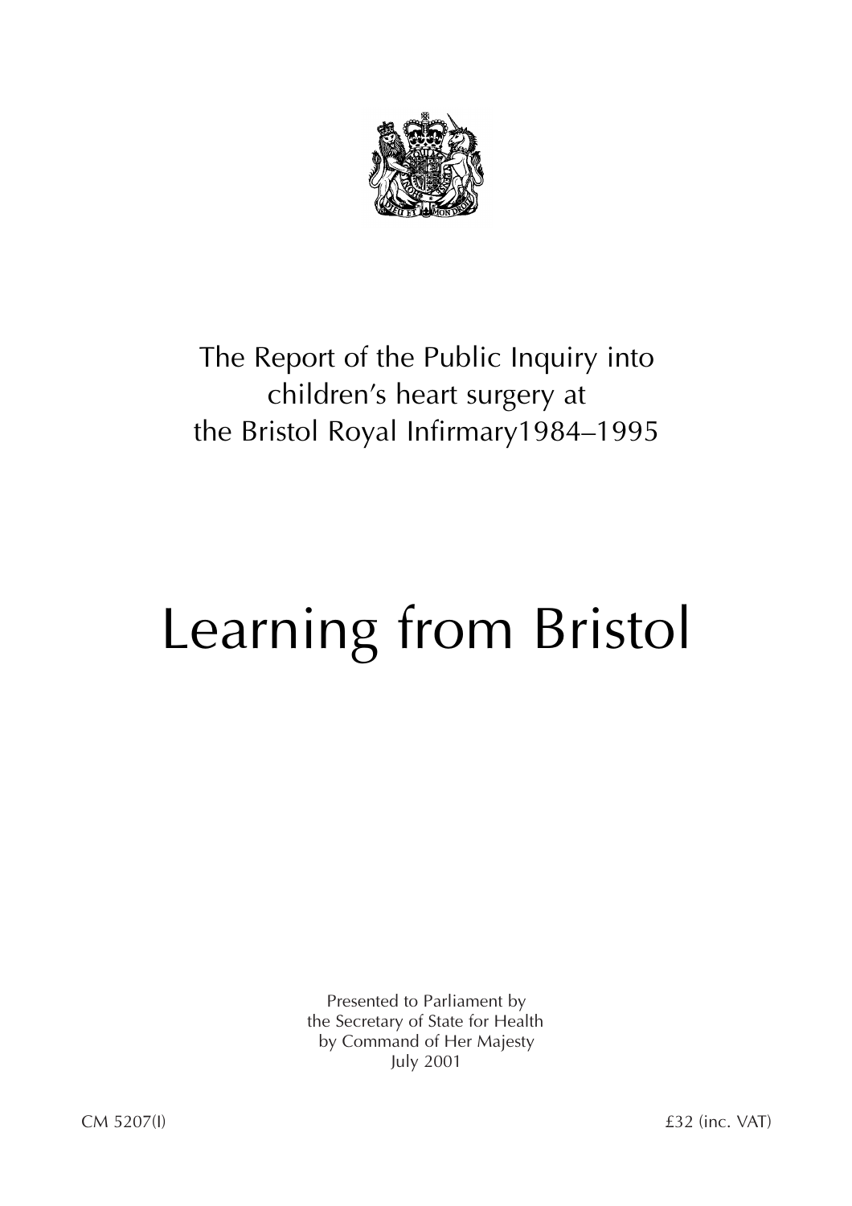

### The Report of the Public Inquiry into children's heart surgery at the Bristol Royal Infirmary1984–1995

# Learning from Bristol

Presented to Parliament by the Secretary of State for Health by Command of Her Majesty July 2001

 $CM$  5207(I)  $£32$  (inc. VAT)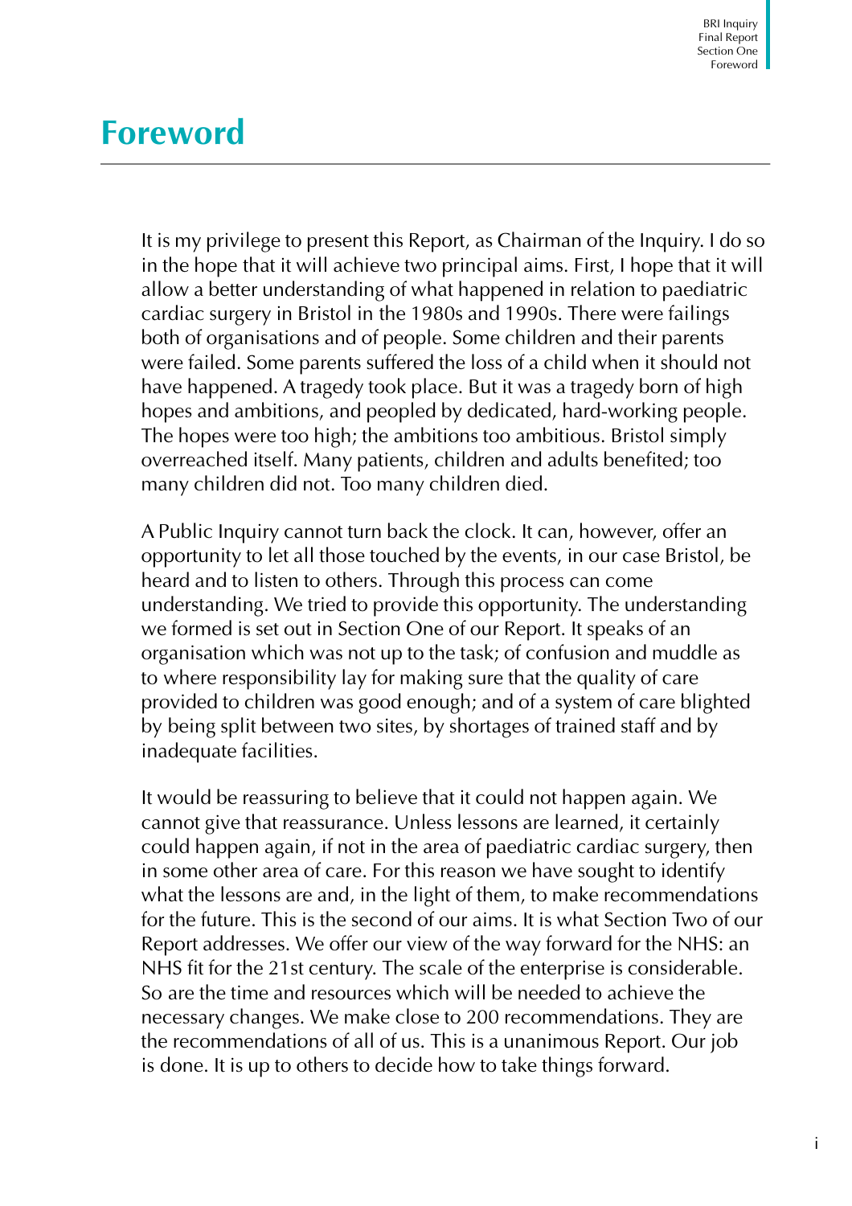### **Foreword**

It is my privilege to present this Report, as Chairman of the Inquiry. I do so in the hope that it will achieve two principal aims. First, I hope that it will allow a better understanding of what happened in relation to paediatric cardiac surgery in Bristol in the 1980s and 1990s. There were failings both of organisations and of people. Some children and their parents were failed. Some parents suffered the loss of a child when it should not have happened. A tragedy took place. But it was a tragedy born of high hopes and ambitions, and peopled by dedicated, hard-working people. The hopes were too high; the ambitions too ambitious. Bristol simply overreached itself. Many patients, children and adults benefited; too many children did not. Too many children died.

A Public Inquiry cannot turn back the clock. It can, however, offer an opportunity to let all those touched by the events, in our case Bristol, be heard and to listen to others. Through this process can come understanding. We tried to provide this opportunity. The understanding we formed is set out in Section One of our Report. It speaks of an organisation which was not up to the task; of confusion and muddle as to where responsibility lay for making sure that the quality of care provided to children was good enough; and of a system of care blighted by being split between two sites, by shortages of trained staff and by inadequate facilities.

It would be reassuring to believe that it could not happen again. We cannot give that reassurance. Unless lessons are learned, it certainly could happen again, if not in the area of paediatric cardiac surgery, then in some other area of care. For this reason we have sought to identify what the lessons are and, in the light of them, to make recommendations for the future. This is the second of our aims. It is what Section Two of our Report addresses. We offer our view of the way forward for the NHS: an NHS fit for the 21st century. The scale of the enterprise is considerable. So are the time and resources which will be needed to achieve the necessary changes. We make close to 200 recommendations. They are the recommendations of all of us. This is a unanimous Report. Our job is done. It is up to others to decide how to take things forward.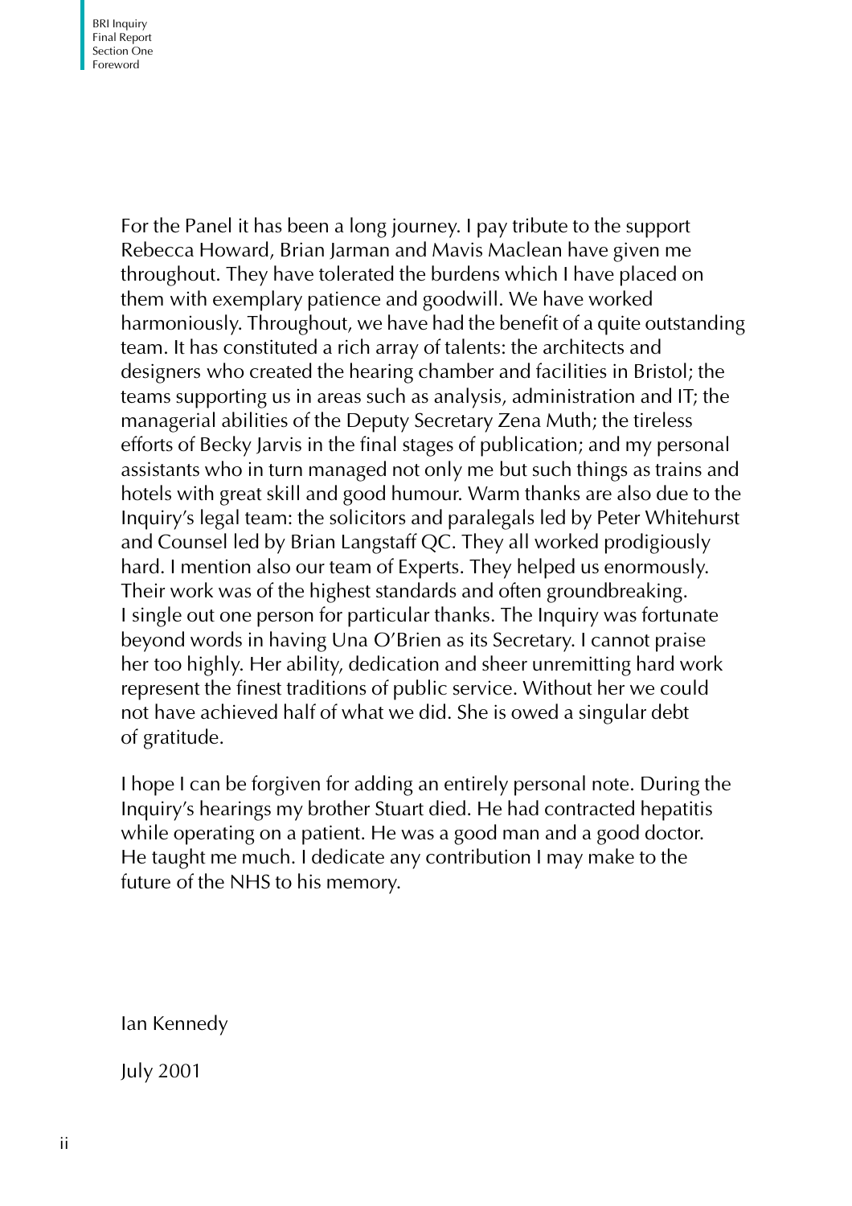BRI Inquiry Final Report Section One Foreword

> For the Panel it has been a long journey. I pay tribute to the support Rebecca Howard, Brian Jarman and Mavis Maclean have given me throughout. They have tolerated the burdens which I have placed on them with exemplary patience and goodwill. We have worked harmoniously. Throughout, we have had the benefit of a quite outstanding team. It has constituted a rich array of talents: the architects and designers who created the hearing chamber and facilities in Bristol; the teams supporting us in areas such as analysis, administration and IT; the managerial abilities of the Deputy Secretary Zena Muth; the tireless efforts of Becky Jarvis in the final stages of publication; and my personal assistants who in turn managed not only me but such things as trains and hotels with great skill and good humour. Warm thanks are also due to the Inquiry's legal team: the solicitors and paralegals led by Peter Whitehurst and Counsel led by Brian Langstaff QC. They all worked prodigiously hard. I mention also our team of Experts. They helped us enormously. Their work was of the highest standards and often groundbreaking. I single out one person for particular thanks. The Inquiry was fortunate beyond words in having Una O'Brien as its Secretary. I cannot praise her too highly. Her ability, dedication and sheer unremitting hard work represent the finest traditions of public service. Without her we could not have achieved half of what we did. She is owed a singular debt of gratitude.

I hope I can be forgiven for adding an entirely personal note. During the Inquiry's hearings my brother Stuart died. He had contracted hepatitis while operating on a patient. He was a good man and a good doctor. He taught me much. I dedicate any contribution I may make to the future of the NHS to his memory.

Ian Kennedy

July 2001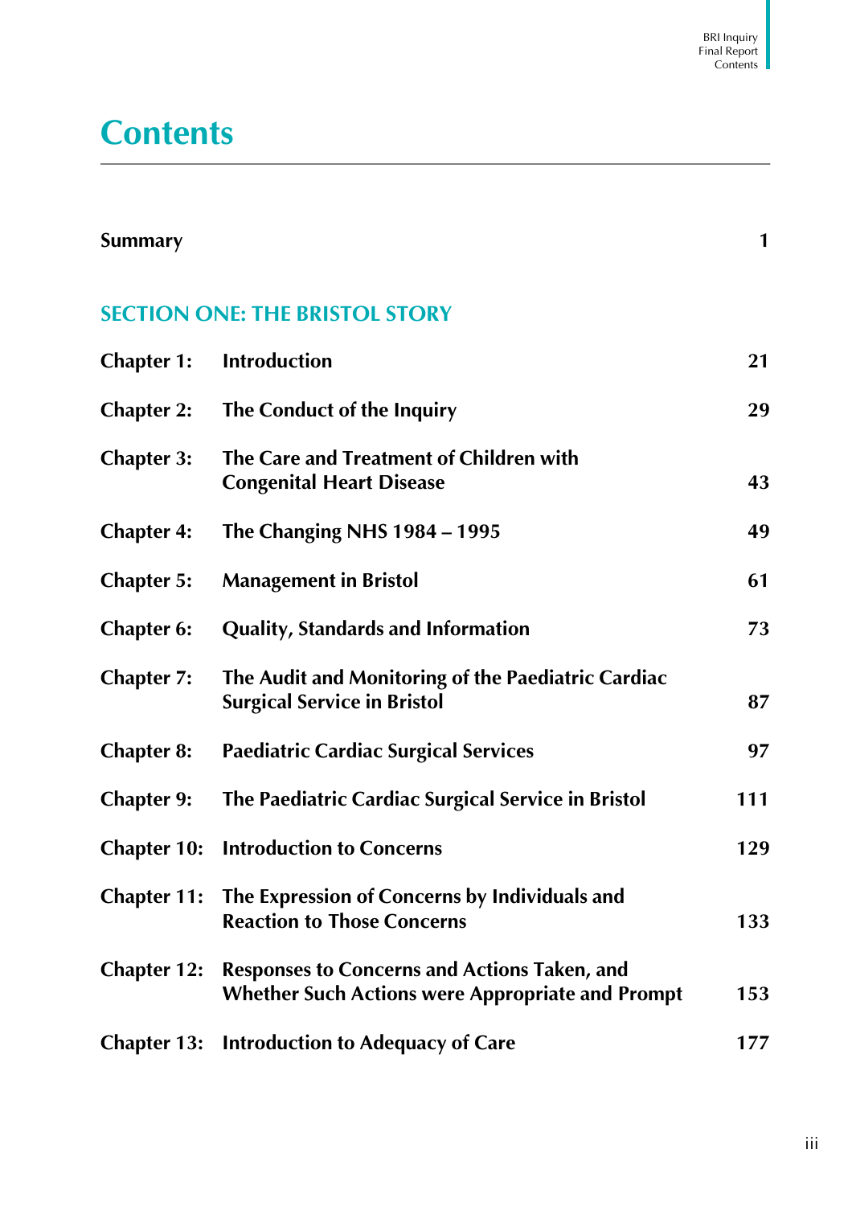# **Contents**

| <b>Summary</b>     |                                                                                                                | 1   |
|--------------------|----------------------------------------------------------------------------------------------------------------|-----|
|                    | <b>SECTION ONE: THE BRISTOL STORY</b>                                                                          |     |
| <b>Chapter 1:</b>  | <b>Introduction</b>                                                                                            | 21  |
| <b>Chapter 2:</b>  | The Conduct of the Inquiry                                                                                     | 29  |
| <b>Chapter 3:</b>  | The Care and Treatment of Children with<br><b>Congenital Heart Disease</b>                                     | 43  |
| <b>Chapter 4:</b>  | The Changing NHS 1984 - 1995                                                                                   | 49  |
| <b>Chapter 5:</b>  | <b>Management in Bristol</b>                                                                                   | 61  |
| <b>Chapter 6:</b>  | <b>Quality, Standards and Information</b>                                                                      | 73  |
| <b>Chapter 7:</b>  | The Audit and Monitoring of the Paediatric Cardiac<br><b>Surgical Service in Bristol</b>                       | 87  |
| <b>Chapter 8:</b>  | <b>Paediatric Cardiac Surgical Services</b>                                                                    | 97  |
| <b>Chapter 9:</b>  | The Paediatric Cardiac Surgical Service in Bristol                                                             | 111 |
| <b>Chapter 10:</b> | <b>Introduction to Concerns</b>                                                                                | 129 |
|                    | <b>Chapter 11:</b> The Expression of Concerns by Individuals and<br><b>Reaction to Those Concerns</b>          | 133 |
| <b>Chapter 12:</b> | <b>Responses to Concerns and Actions Taken, and</b><br><b>Whether Such Actions were Appropriate and Prompt</b> | 153 |
| <b>Chapter 13:</b> | <b>Introduction to Adequacy of Care</b>                                                                        | 177 |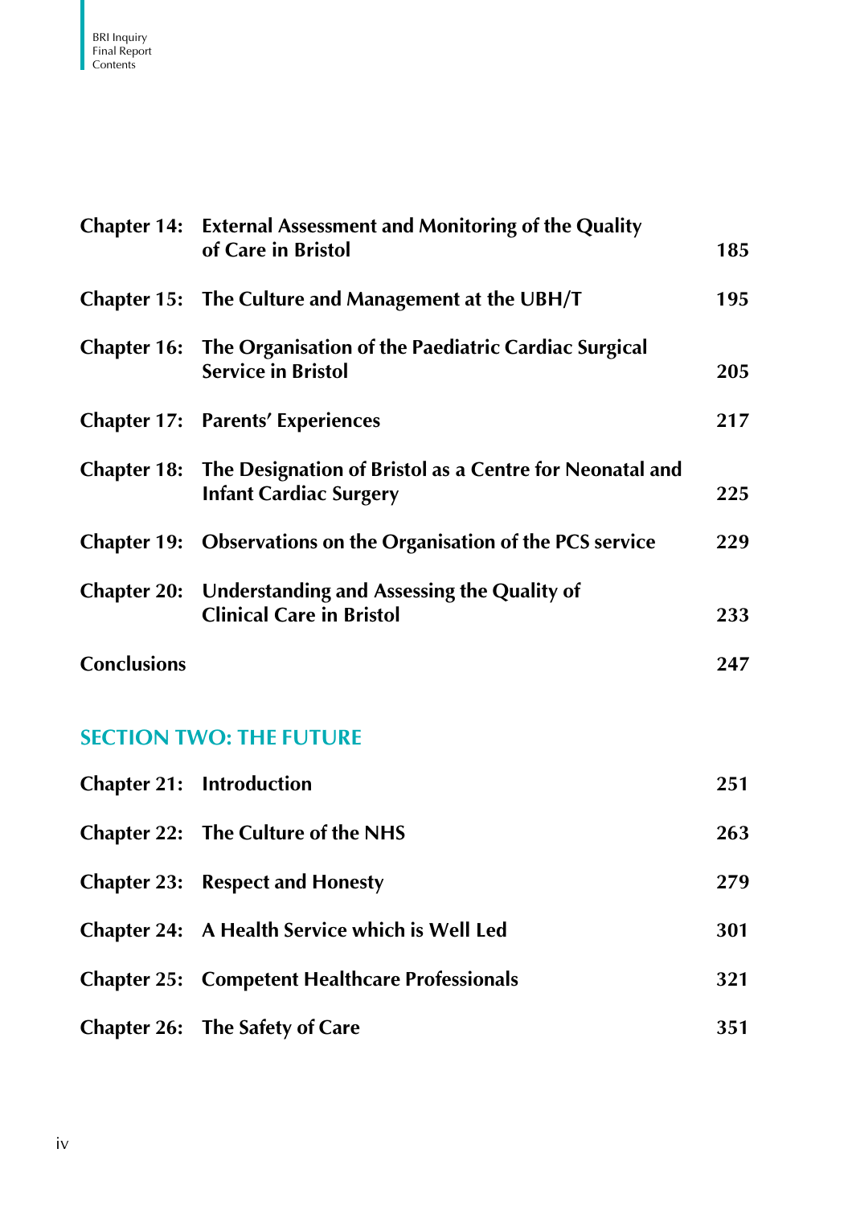| <b>Chapter 14:</b> | <b>External Assessment and Monitoring of the Quality</b><br>of Care in Bristol                      | 185 |
|--------------------|-----------------------------------------------------------------------------------------------------|-----|
|                    | Chapter 15: The Culture and Management at the UBH/T                                                 | 195 |
|                    | <b>Chapter 16: The Organisation of the Paediatric Cardiac Surgical</b><br><b>Service in Bristol</b> | 205 |
|                    | <b>Chapter 17: Parents' Experiences</b>                                                             | 217 |
| <b>Chapter 18:</b> | The Designation of Bristol as a Centre for Neonatal and<br><b>Infant Cardiac Surgery</b>            | 225 |
|                    | Chapter 19: Observations on the Organisation of the PCS service                                     | 229 |
| <b>Chapter 20:</b> | Understanding and Assessing the Quality of<br><b>Clinical Care in Bristol</b>                       | 233 |
| <b>Conclusions</b> |                                                                                                     | 247 |
|                    | <b>SECTION TWO: THE FUTURE</b>                                                                      |     |
|                    | <b>Chapter 21: Introduction</b>                                                                     | 251 |
|                    | <b>Chapter 22: The Culture of the NHS</b>                                                           | 263 |
|                    | <b>Chapter 23: Respect and Honesty</b>                                                              | 279 |
|                    | Chapter 24: A Health Service which is Well Led                                                      | 301 |

| <b>Chapter 25: Competent Healthcare Professionals</b> | 321 |
|-------------------------------------------------------|-----|
|                                                       |     |

|  | <b>Chapter 26: The Safety of Care</b> | 351 |
|--|---------------------------------------|-----|
|--|---------------------------------------|-----|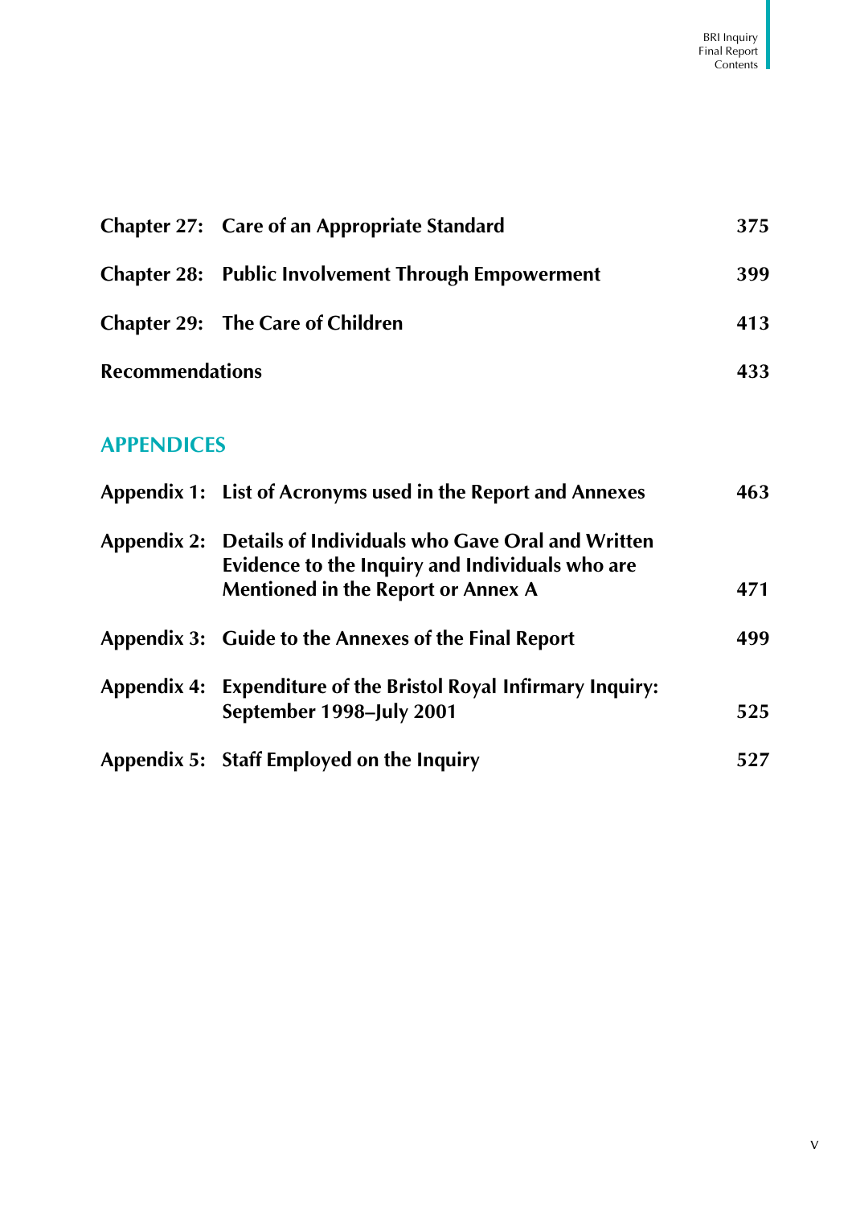|                        | <b>Chapter 27: Care of an Appropriate Standard</b>                                                                                                           | 375 |
|------------------------|--------------------------------------------------------------------------------------------------------------------------------------------------------------|-----|
|                        | <b>Chapter 28: Public Involvement Through Empowerment</b>                                                                                                    | 399 |
|                        | <b>Chapter 29: The Care of Children</b>                                                                                                                      | 413 |
| <b>Recommendations</b> |                                                                                                                                                              | 433 |
| <b>APPENDICES</b>      |                                                                                                                                                              |     |
|                        | Appendix 1: List of Acronyms used in the Report and Annexes                                                                                                  | 463 |
|                        | Appendix 2: Details of Individuals who Gave Oral and Written<br>Evidence to the Inquiry and Individuals who are<br><b>Mentioned in the Report or Annex A</b> | 471 |
|                        | Appendix 3: Guide to the Annexes of the Final Report                                                                                                         | 499 |
| Appendix 4:            | <b>Expenditure of the Bristol Royal Infirmary Inquiry:</b><br>September 1998-July 2001                                                                       | 525 |
|                        | Appendix 5: Staff Employed on the Inquiry                                                                                                                    | 527 |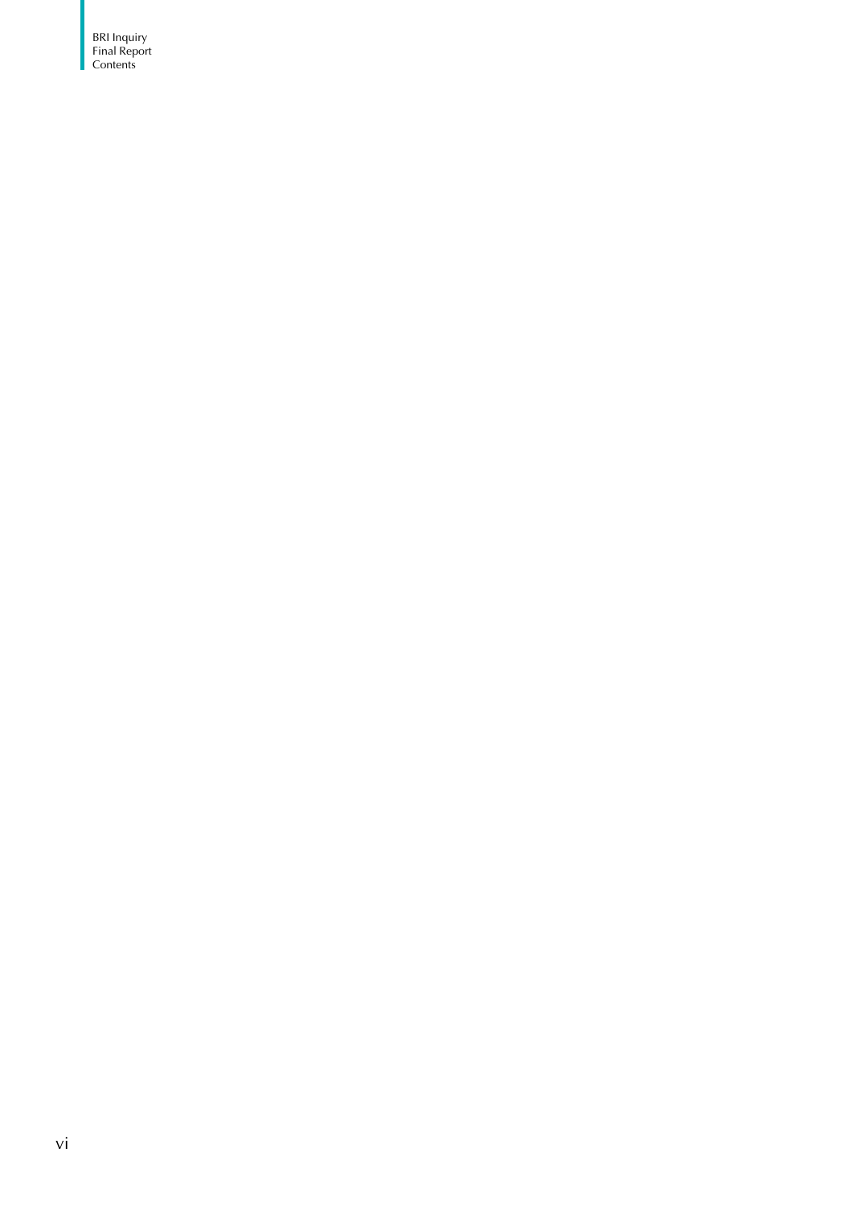BRI Inquiry Final Report Contents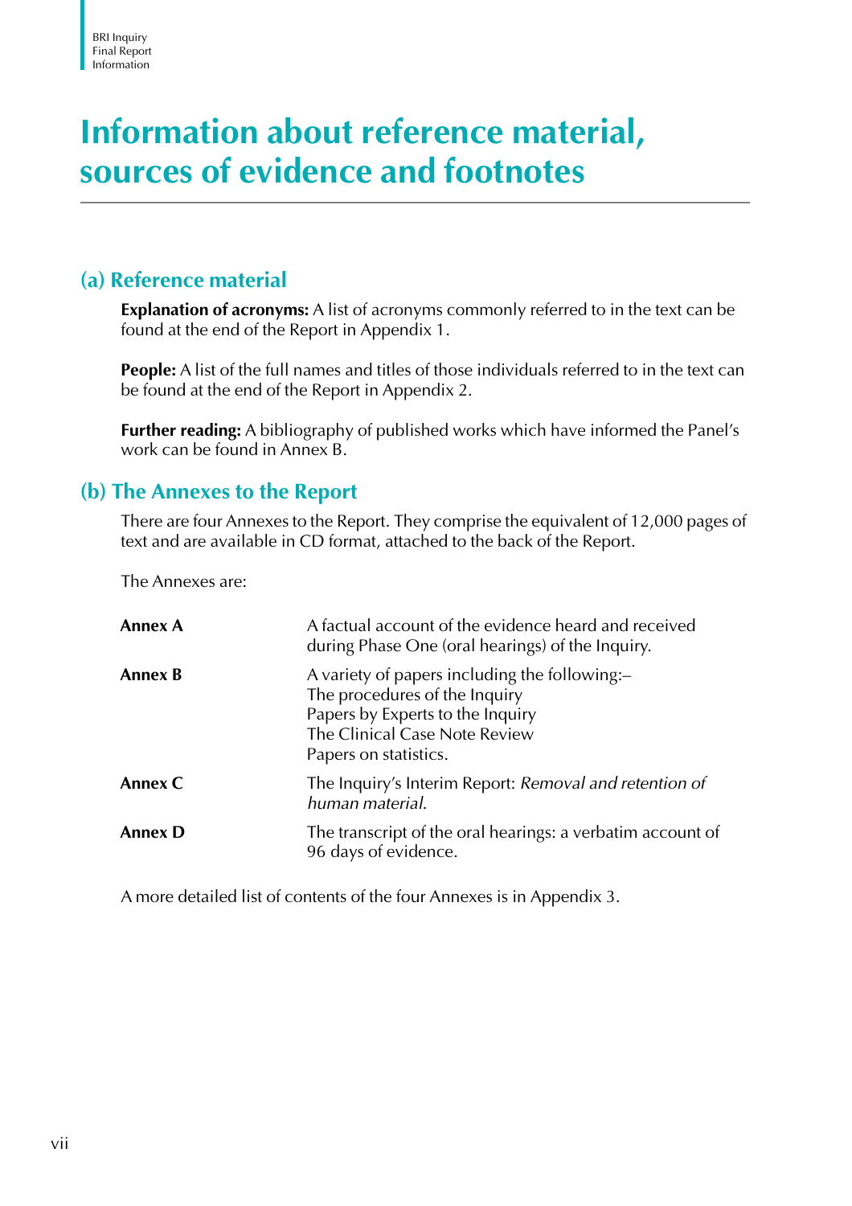## **Information about reference material, sources of evidence and footnotes**

#### **(a) Reference material**

**Explanation of acronyms:** A list of acronyms commonly referred to in the text can be found at the end of the Report in Appendix 1.

**People:** A list of the full names and titles of those individuals referred to in the text can be found at the end of the Report in Appendix 2.

**Further reading:** A bibliography of published works which have informed the Panel's work can be found in Annex B.

#### **(b) The Annexes to the Report**

There are four Annexes to the Report. They comprise the equivalent of 12,000 pages of text and are available in CD format, attached to the back of the Report.

The Annexes are:

| <b>Annex A</b> | A factual account of the evidence heard and received<br>during Phase One (oral hearings) of the Inquiry.                                                                     |
|----------------|------------------------------------------------------------------------------------------------------------------------------------------------------------------------------|
| <b>Annex B</b> | A variety of papers including the following:-<br>The procedures of the Inquiry<br>Papers by Experts to the Inquiry<br>The Clinical Case Note Review<br>Papers on statistics. |
| Annex C        | The Inquiry's Interim Report: Removal and retention of<br>human material.                                                                                                    |
| <b>Annex D</b> | The transcript of the oral hearings: a verbatim account of<br>96 days of evidence.                                                                                           |

A more detailed list of contents of the four Annexes is in Appendix 3.